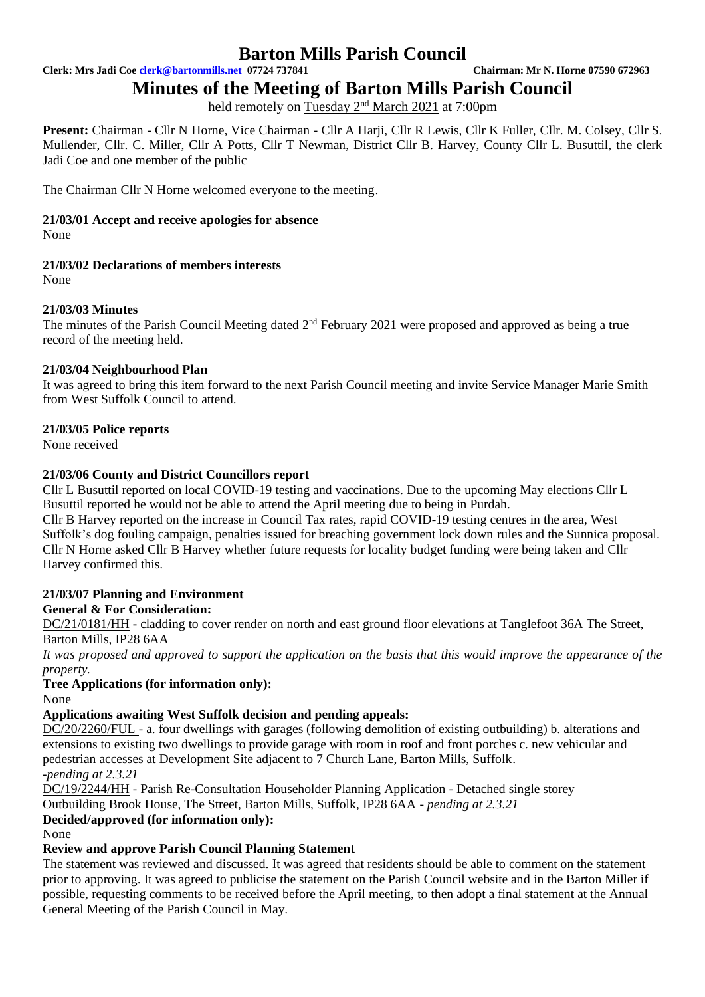**Clerk: Mrs Jadi Coe [clerk@bartonmills.net](mailto:clerk@bartonmills.net) 07724 737841 Chairman: Mr N. Horne 07590 672963**

**Minutes of the Meeting of Barton Mills Parish Council**

held remotely on Tuesday 2<sup>nd</sup> March 2021 at 7:00pm

**Present:** Chairman - Cllr N Horne, Vice Chairman - Cllr A Harji, Cllr R Lewis, Cllr K Fuller, Cllr. M. Colsey, Cllr S. Mullender, Cllr. C. Miller, Cllr A Potts, Cllr T Newman, District Cllr B. Harvey, County Cllr L. Busuttil, the clerk Jadi Coe and one member of the public

The Chairman Cllr N Horne welcomed everyone to the meeting.

## **21/03/01 Accept and receive apologies for absence**

None

## **21/03/02 Declarations of members interests**

None

## **21/03/03 Minutes**

The minutes of the Parish Council Meeting dated 2<sup>nd</sup> February 2021 were proposed and approved as being a true record of the meeting held.

## **21/03/04 Neighbourhood Plan**

It was agreed to bring this item forward to the next Parish Council meeting and invite Service Manager Marie Smith from West Suffolk Council to attend.

## **21/03/05 Police reports**

None received

## **21/03/06 County and District Councillors report**

Cllr L Busuttil reported on local COVID-19 testing and vaccinations. Due to the upcoming May elections Cllr L Busuttil reported he would not be able to attend the April meeting due to being in Purdah.

Cllr B Harvey reported on the increase in Council Tax rates, rapid COVID-19 testing centres in the area, West Suffolk's dog fouling campaign, penalties issued for breaching government lock down rules and the Sunnica proposal. Cllr N Horne asked Cllr B Harvey whether future requests for locality budget funding were being taken and Cllr Harvey confirmed this.

## **21/03/07 Planning and Environment**

## **General & For Consideration:**

DC/21/0181/HH **-** cladding to cover render on north and east ground floor elevations at Tanglefoot 36A The Street, Barton Mills, IP28 6AA

*It was proposed and approved to support the application on the basis that this would improve the appearance of the property.*

# **Tree Applications (for information only):**

None

# **Applications awaiting West Suffolk decision and pending appeals:**

DC/20/2260/FUL - a. four dwellings with garages (following demolition of existing outbuilding) b. alterations and extensions to existing two dwellings to provide garage with room in roof and front porches c. new vehicular and pedestrian accesses at Development Site adjacent to 7 Church Lane, Barton Mills, Suffolk. **-***pending at 2.3.21*

DC/19/2244/HH - Parish Re-Consultation Householder Planning Application - Detached single storey

Outbuilding Brook House, The Street, Barton Mills, Suffolk, IP28 6AA - *pending at 2.3.21*

## **Decided/approved (for information only):**

None

## **Review and approve Parish Council Planning Statement**

The statement was reviewed and discussed. It was agreed that residents should be able to comment on the statement prior to approving. It was agreed to publicise the statement on the Parish Council website and in the Barton Miller if possible, requesting comments to be received before the April meeting, to then adopt a final statement at the Annual General Meeting of the Parish Council in May.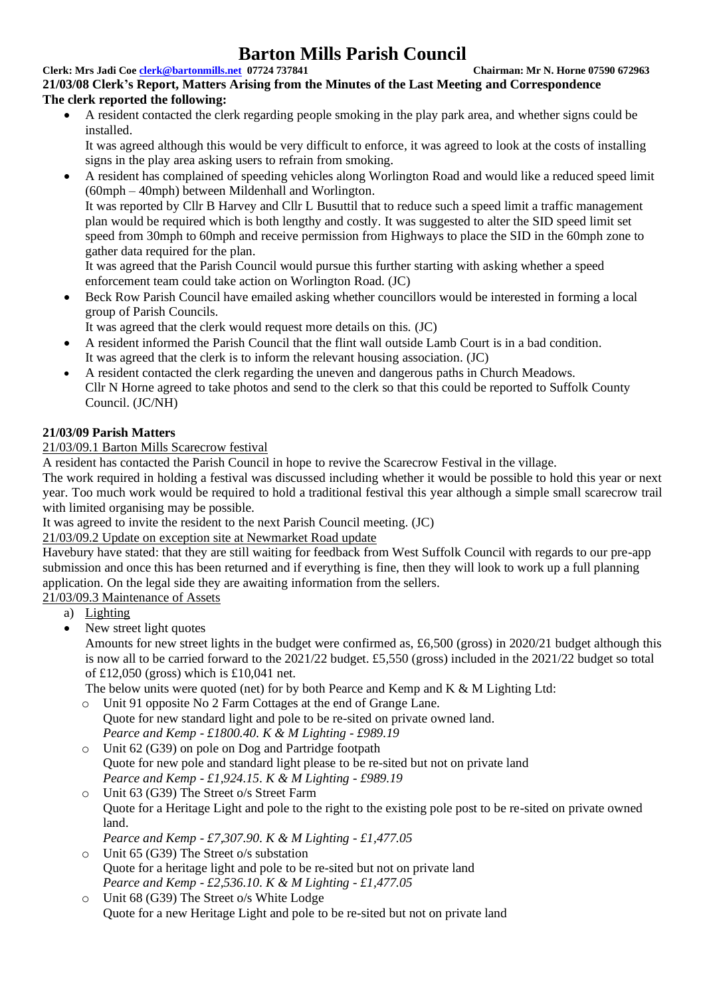### **Clerk: Mrs Jadi Coe [clerk@bartonmills.net](mailto:clerk@bartonmills.net) 07724 737841 Chairman: Mr N. Horne 07590 672963**

**21/03/08 Clerk's Report, Matters Arising from the Minutes of the Last Meeting and Correspondence The clerk reported the following:**

• A resident contacted the clerk regarding people smoking in the play park area, and whether signs could be installed.

It was agreed although this would be very difficult to enforce, it was agreed to look at the costs of installing signs in the play area asking users to refrain from smoking.

• A resident has complained of speeding vehicles along Worlington Road and would like a reduced speed limit (60mph – 40mph) between Mildenhall and Worlington. It was reported by Cllr B Harvey and Cllr L Busuttil that to reduce such a speed limit a traffic management

plan would be required which is both lengthy and costly. It was suggested to alter the SID speed limit set speed from 30mph to 60mph and receive permission from Highways to place the SID in the 60mph zone to gather data required for the plan.

It was agreed that the Parish Council would pursue this further starting with asking whether a speed enforcement team could take action on Worlington Road. (JC)

• Beck Row Parish Council have emailed asking whether councillors would be interested in forming a local group of Parish Councils.

It was agreed that the clerk would request more details on this. (JC)

- A resident informed the Parish Council that the flint wall outside Lamb Court is in a bad condition. It was agreed that the clerk is to inform the relevant housing association. (JC)
- A resident contacted the clerk regarding the uneven and dangerous paths in Church Meadows. Cllr N Horne agreed to take photos and send to the clerk so that this could be reported to Suffolk County Council. (JC/NH)

# **21/03/09 Parish Matters**

# 21/03/09.1 Barton Mills Scarecrow festival

A resident has contacted the Parish Council in hope to revive the Scarecrow Festival in the village.

The work required in holding a festival was discussed including whether it would be possible to hold this year or next year. Too much work would be required to hold a traditional festival this year although a simple small scarecrow trail with limited organising may be possible.

It was agreed to invite the resident to the next Parish Council meeting. (JC)

21/03/09.2 Update on exception site at Newmarket Road update

Havebury have stated: that they are still waiting for feedback from West Suffolk Council with regards to our pre-app submission and once this has been returned and if everything is fine, then they will look to work up a full planning application. On the legal side they are awaiting information from the sellers.

21/03/09.3 Maintenance of Assets

- a) Lighting
- New street light quotes

Amounts for new street lights in the budget were confirmed as, £6,500 (gross) in 2020/21 budget although this is now all to be carried forward to the 2021/22 budget. £5,550 (gross) included in the 2021/22 budget so total of £12,050 (gross) which is £10,041 net.

The below units were quoted (net) for by both Pearce and Kemp and K & M Lighting Ltd:

- o Unit 91 opposite No 2 Farm Cottages at the end of Grange Lane. Quote for new standard light and pole to be re-sited on private owned land. *Pearce and Kemp - £1800.40. K & M Lighting - £989.19*
- o Unit 62 (G39) on pole on Dog and Partridge footpath Quote for new pole and standard light please to be re-sited but not on private land *Pearce and Kemp - £1,924.15. K & M Lighting - £989.19*
- o Unit 63 (G39) The Street o/s Street Farm Quote for a Heritage Light and pole to the right to the existing pole post to be re-sited on private owned land.

*Pearce and Kemp - £7,307.90. K & M Lighting - £1,477.05*

- o Unit 65 (G39) The Street o/s substation Quote for a heritage light and pole to be re-sited but not on private land *Pearce and Kemp - £2,536.10. K & M Lighting - £1,477.05*
- o Unit 68 (G39) The Street o/s White Lodge Quote for a new Heritage Light and pole to be re-sited but not on private land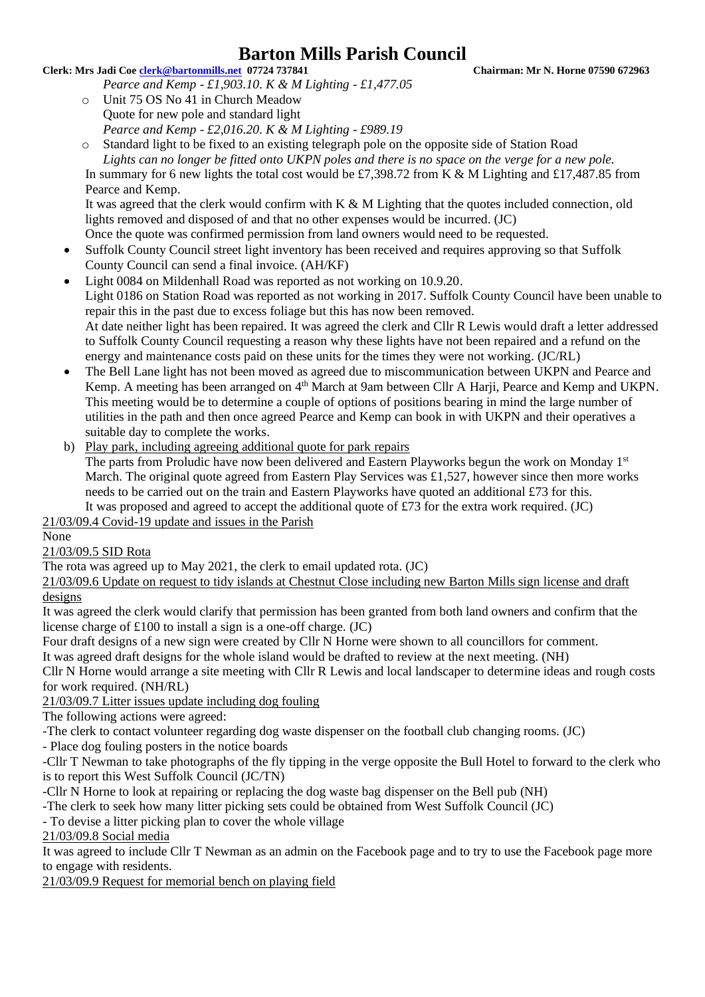### **Clerk: Mrs Jadi Coe [clerk@bartonmills.net](mailto:clerk@bartonmills.net) 07724 737841 Chairman: Mr N. Horne 07590 672963**

- *Pearce and Kemp - £1,903.10. K & M Lighting - £1,477.05*
- o Unit 75 OS No 41 in Church Meadow Quote for new pole and standard light *Pearce and Kemp - £2,016.20. K & M Lighting - £989.19*
- o Standard light to be fixed to an existing telegraph pole on the opposite side of Station Road *Lights can no longer be fitted onto UKPN poles and there is no space on the verge for a new pole.* In summary for 6 new lights the total cost would be £7,398.72 from K & M Lighting and £17,487.85 from Pearce and Kemp.

It was agreed that the clerk would confirm with  $K \& M$  Lighting that the quotes included connection, old lights removed and disposed of and that no other expenses would be incurred. (JC) Once the quote was confirmed permission from land owners would need to be requested.

- Suffolk County Council street light inventory has been received and requires approving so that Suffolk County Council can send a final invoice. (AH/KF)
- Light 0084 on Mildenhall Road was reported as not working on 10.9.20. Light 0186 on Station Road was reported as not working in 2017. Suffolk County Council have been unable to repair this in the past due to excess foliage but this has now been removed. At date neither light has been repaired. It was agreed the clerk and Cllr R Lewis would draft a letter addressed to Suffolk County Council requesting a reason why these lights have not been repaired and a refund on the energy and maintenance costs paid on these units for the times they were not working. (JC/RL)
- The Bell Lane light has not been moved as agreed due to miscommunication between UKPN and Pearce and Kemp. A meeting has been arranged on 4<sup>th</sup> March at 9am between Cllr A Harji, Pearce and Kemp and UKPN. This meeting would be to determine a couple of options of positions bearing in mind the large number of utilities in the path and then once agreed Pearce and Kemp can book in with UKPN and their operatives a suitable day to complete the works.
- b) Play park, including agreeing additional quote for park repairs

The parts from Proludic have now been delivered and Eastern Playworks begun the work on Monday 1<sup>st</sup> March. The original quote agreed from Eastern Play Services was £1,527, however since then more works needs to be carried out on the train and Eastern Playworks have quoted an additional £73 for this. It was proposed and agreed to accept the additional quote of £73 for the extra work required. (JC)

21/03/09.4 Covid-19 update and issues in the Parish

# None

# 21/03/09.5 SID Rota

The rota was agreed up to May 2021, the clerk to email updated rota. (JC)

21/03/09.6 Update on request to tidy islands at Chestnut Close including new Barton Mills sign license and draft designs

It was agreed the clerk would clarify that permission has been granted from both land owners and confirm that the license charge of £100 to install a sign is a one-off charge. (JC)

Four draft designs of a new sign were created by Cllr N Horne were shown to all councillors for comment.

It was agreed draft designs for the whole island would be drafted to review at the next meeting. (NH)

Cllr N Horne would arrange a site meeting with Cllr R Lewis and local landscaper to determine ideas and rough costs for work required. (NH/RL)

## 21/03/09.7 Litter issues update including dog fouling

The following actions were agreed:

-The clerk to contact volunteer regarding dog waste dispenser on the football club changing rooms. (JC)

- Place dog fouling posters in the notice boards

-Cllr T Newman to take photographs of the fly tipping in the verge opposite the Bull Hotel to forward to the clerk who is to report this West Suffolk Council (JC/TN)

-Cllr N Horne to look at repairing or replacing the dog waste bag dispenser on the Bell pub (NH)

-The clerk to seek how many litter picking sets could be obtained from West Suffolk Council (JC)

- To devise a litter picking plan to cover the whole village

21/03/09.8 Social media

It was agreed to include Cllr T Newman as an admin on the Facebook page and to try to use the Facebook page more to engage with residents.

21/03/09.9 Request for memorial bench on playing field